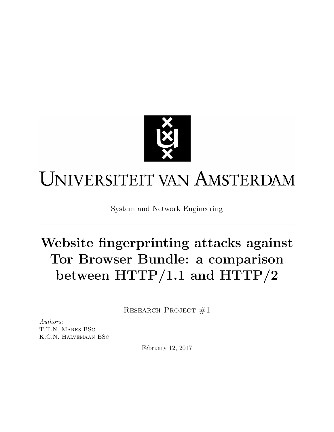

# UNIVERSITEIT VAN AMSTERDAM

System and Network Engineering

# Website fingerprinting attacks against Tor Browser Bundle: a comparison between HTTP/1.1 and HTTP/2

RESEARCH PROJECT #1

Authors: T.T.N. Marks BSc. K.C.N. Halvemaan BSc.

February 12, 2017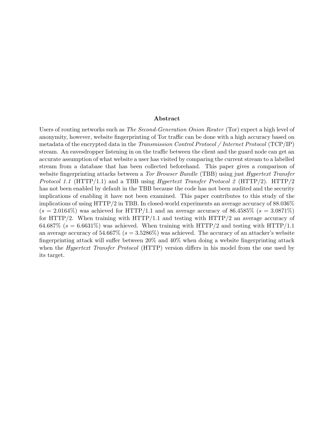#### Abstract

Users of routing networks such as *[The Second-Generation Onion Router](#page-20-0)* (Tor) expect a high level of anonymity, however, website fingerprinting of [Tor](#page-20-0) traffic can be done with a high accuracy based on metadata of the encrypted data in the [Transmission Control Protocol / Internet Protocol](#page-20-1) (TCP/IP) stream. An eavesdropper listening in on the traffic between the client and the guard node can get an accurate assumption of what website a user has visited by comparing the current stream to a labelled stream from a database that has been collected beforehand. This paper gives a comparison of website fingerprinting attacks between a [Tor Browser Bundle](#page-20-2) (TBB) using just [Hypertext Transfer](#page-19-0) *Protocol 1.1* [\(HTTP/1.1\)](#page-19-0) and a [TBB](#page-20-2) using *[Hypertext Transfer Protocol 2](#page-19-1)* (HTTP/2). [HTTP/2](#page-19-1) has not been enabled by default in the [TBB](#page-20-2) because the code has not been audited and the security implications of enabling it have not been examined. This paper contributes to this study of the implications of using [HTTP/2](#page-19-1) in [TBB.](#page-20-2) In closed-world experiments an average accuracy of 88.036%  $(s = 2.0164\%)$  was achieved for [HTTP/1.1](#page-19-0) and an average accuracy of 86.4585\%  $(s = 3.0871\%)$ for [HTTP/2.](#page-19-1) When training with  $HTTP/1.1$  and testing with  $HTTP/2$  an average accuracy of 64.687% ( $s = 6.6631\%$ ) was achieved. When training with [HTTP/2](#page-19-1) and testing with [HTTP/1.1](#page-19-0) an average accuracy of  $54.667\%$  ( $s = 3.5286\%$ ) was achieved. The accuracy of an attacker's website fingerprinting attack will suffer between 20% and 40% when doing a website fingerprinting attack when the *[Hypertext Transfer Protocol](#page-19-2)* (HTTP) version differs in his model from the one used by its target.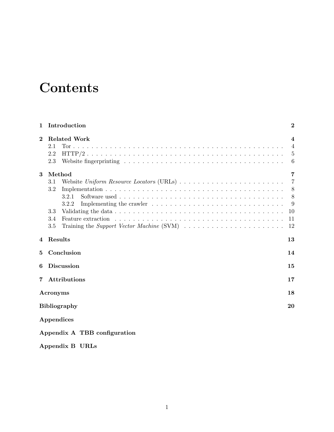# <span id="page-2-0"></span>**Contents**

| 1              | Introduction                                                                                            | $\bf{2}$       |
|----------------|---------------------------------------------------------------------------------------------------------|----------------|
| $\bf{2}$       | <b>Related Work</b>                                                                                     | $\overline{4}$ |
|                | 2.1                                                                                                     | $\overline{4}$ |
|                | 2.2                                                                                                     | 5              |
|                | 2.3                                                                                                     | 6              |
| 3              | Method                                                                                                  | 7              |
|                | Website Uniform Resource Locators (URLs)<br>3.1                                                         | 7              |
|                | 3.2                                                                                                     | 8              |
|                | 3.2.1                                                                                                   | 8              |
|                | 3.2.2                                                                                                   | 9              |
|                | 3.3                                                                                                     | 10             |
|                | 3.4                                                                                                     | 11             |
|                | Training the Support Vector Machine (SVM) $\ldots \ldots \ldots \ldots \ldots \ldots \ldots$<br>$3.5\,$ | 12             |
| 4              | Results                                                                                                 | 13             |
| 5              | Conclusion                                                                                              | 14             |
| 6              | <b>Discussion</b>                                                                                       | 15             |
| $7\phantom{.}$ | Attributions                                                                                            | 17             |
|                | Acronyms                                                                                                | 18             |
|                | <b>Bibliography</b>                                                                                     | 20             |
|                | Appendices                                                                                              |                |
|                | Appendix A TBB configuration                                                                            |                |

[Appendix B URLs](#page-24-0)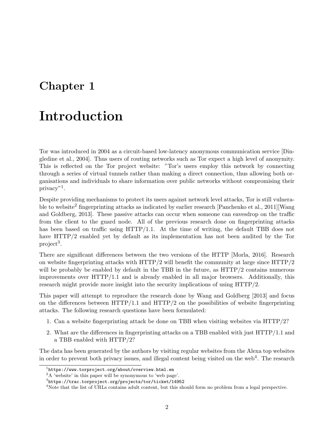### <span id="page-3-5"></span><span id="page-3-0"></span>Introduction

[Tor](#page-20-0) was introduced in 2004 as a circuit-based low-latency anonymous communication service [\[Din](#page-21-1)[gledine et al., 2004\]](#page-21-1). Thus users of routing networks such as [Tor](#page-20-0) expect a high level of anonymity. This is reflected on the [Tor](#page-20-0) project website: ["Tor'](#page-20-0)s users employ this network by connecting through a series of virtual tunnels rather than making a direct connection, thus allowing both organisations and individuals to share information over public networks without compromising their privacy"[1](#page-3-1) .

Despite providing mechanisms to protect its users against network level attacks, [Tor](#page-20-0) is still vulnera-ble to website<sup>[2](#page-3-2)</sup> fingerprinting attacks as indicated by earlier research [\[Panchenko et al., 2011\]](#page-21-2)[\[Wang](#page-22-0) [and Goldberg, 2013\]](#page-22-0). These passive attacks can occur when someone can eavesdrop on the traffic from the client to the guard node. All of the previous research done on fingerprinting attacks has been based on traffic using [HTTP/1.1.](#page-19-0) At the time of writing, the default [TBB](#page-20-2) does not have [HTTP/2](#page-19-1) enabled yet by default as its implementation has not been audited by the Tor  $project<sup>3</sup>.$  $project<sup>3</sup>.$  $project<sup>3</sup>.$ 

There are significant differences between the two versions of the [HTTP](#page-19-2) [\[Morla, 2016\]](#page-21-3). Research on website fingerprinting attacks with [HTTP/2](#page-19-1) will benefit the community at large since [HTTP/2](#page-19-1) will be probably be enabled by default in the [TBB](#page-20-2) in the future, as  $HTTP/2$  contains numerous improvements over [HTTP/1.1](#page-19-0) and is already enabled in all major browsers. Additionally, this research might provide more insight into the security implications of using [HTTP/2.](#page-19-1)

This paper will attempt to reproduce the research done by [Wang and Goldberg](#page-22-0) [\[2013\]](#page-22-0) and focus on the differences between  $HTTP/1.1$  and  $HTTP/2$  on the possibilities of website fingerprinting attacks. The following research questions have been formulated:

- 1. Can a website fingerprinting attack be done on [TBB](#page-20-2) when visiting websites via [HTTP/2?](#page-19-1)
- 2. What are the differences in fingerprinting attacks on a [TBB](#page-20-2) enabled with just [HTTP/1.1](#page-19-0) and a [TBB](#page-20-2) enabled with [HTTP/2?](#page-19-1)

The data has been generated by the authors by visiting regular websites from the Alexa top websites in order to prevent both privacy issues, and illegal content being visited on the web<sup>[4](#page-3-4)</sup>. The research

<span id="page-3-1"></span> $^1$ <https://www.torproject.org/about/overview.html.en>

<span id="page-3-2"></span><sup>2</sup>A 'website' in this paper will be synonymous to 'web page'.

<span id="page-3-3"></span> $^3$ <https://trac.torproject.org/projects/tor/ticket/14952>

<span id="page-3-4"></span><sup>&</sup>lt;sup>4</sup>Note that the list of [URLs](#page-20-3) contains adult content, but this should form no problem from a legal perspective.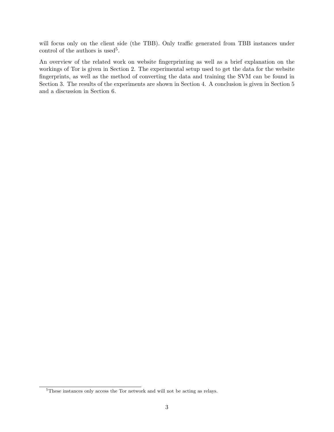<span id="page-4-1"></span>will focus only on the client side (the [TBB\)](#page-20-2). Only traffic generated from [TBB](#page-20-2) instances under control of the authors is used<sup>[5](#page-4-0)</sup>.

An overview of the related work on website fingerprinting as well as a brief explanation on the workings of [Tor](#page-20-0) is given in Section [2.](#page-5-0) The experimental setup used to get the data for the website fingerprints, as well as the method of converting the data and training the [SVM](#page-20-4) can be found in Section [3.](#page-8-0) The results of the experiments are shown in Section [4.](#page-14-0) A conclusion is given in Section [5](#page-15-0) and a discussion in Section [6.](#page-16-0)

<span id="page-4-0"></span> ${\rm ^5The}$  instances only access the [Tor](#page-20-0) network and will not be acting as relays.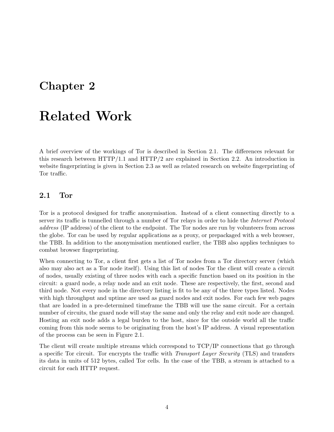### <span id="page-5-2"></span><span id="page-5-0"></span>Related Work

A brief overview of the workings of [Tor](#page-20-0) is described in Section [2.1.](#page-5-1) The differences relevant for this research between [HTTP/1.1](#page-19-0) and [HTTP/2](#page-19-1) are explained in Section [2.2.](#page-6-0) An introduction in website fingerprinting is given in Section [2.3](#page-7-0) as well as related research on website fingerprinting of [Tor](#page-20-0) traffic.

#### <span id="page-5-1"></span>2.1 [Tor](#page-20-0)

[Tor](#page-20-0) is a protocol designed for traffic anonymisation. Instead of a client connecting directly to a server its traffic is tunnelled through a number of [Tor](#page-20-0) relays in order to hide the *[Internet Protocol](#page-19-4)* address [\(IP address\)](#page-19-4) of the client to the endpoint. The [Tor](#page-20-0) nodes are run by volunteers from across the globe. [Tor](#page-20-0) can be used by regular applications as a proxy, or prepackaged with a web browser, the [TBB.](#page-20-2) In addition to the anonymisation mentioned earlier, the [TBB](#page-20-2) also applies techniques to combat browser fingerprinting.

When connecting to [Tor,](#page-20-0) a client first gets a list of [Tor](#page-20-0) nodes from a [Tor](#page-20-0) directory server (which also may also act as a [Tor](#page-20-0) node itself). Using this list of nodes [Tor](#page-20-0) the client will create a circuit of nodes, usually existing of three nodes with each a specific function based on its position in the circuit: a guard node, a relay node and an exit node. These are respectively, the first, second and third node. Not every node in the directory listing is fit to be any of the three types listed. Nodes with high throughput and uptime are used as guard nodes and exit nodes. For each few web pages that are loaded in a pre-determined timeframe the [TBB](#page-20-2) will use the same circuit. For a certain number of circuits, the guard node will stay the same and only the relay and exit node are changed. Hosting an exit node adds a legal burden to the host, since for the outside world all the traffic coming from this node seems to be originating from the host's [IP address.](#page-19-4) A visual representation of the process can be seen in Figure [2.1.](#page-6-1)

The client will create multiple streams which correspond to [TCP/IP](#page-20-1) connections that go through a specific [Tor](#page-20-0) circuit. [Tor](#page-20-0) encrypts the traffic with [Transport Layer Security](#page-20-5) (TLS) and transfers its data in units of 512 bytes, called [Tor](#page-20-0) cells. In the case of the [TBB,](#page-20-2) a stream is attached to a circuit for each [HTTP](#page-19-2) request.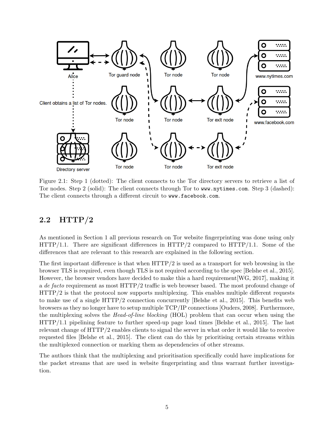<span id="page-6-2"></span><span id="page-6-1"></span>

Figure 2.1: Step 1 (dotted): The client connects to the [Tor](#page-20-0) directory servers to retrieve a list of [Tor](#page-20-0) nodes. Step 2 (solid): The client connects through [Tor](#page-20-0) to <www.nytimes.com>. Step 3 (dashed): The client connects through a different circuit to <www.facebook.com>.

#### <span id="page-6-0"></span>2.2 [HTTP/2](#page-19-1)

As mentioned in Section [1](#page-3-0) all previous research on [Tor](#page-20-0) website fingerprinting was done using only  $HTTP/1.1.$  There are significant differences in  $HTTP/2$  compared to  $HTTP/1.1.$  Some of the differences that are relevant to this research are explained in the following section.

The first important difference is that when [HTTP/2](#page-19-1) is used as a transport for web browsing in the browser [TLS](#page-20-5) is required, even though [TLS](#page-20-5) is not required according to the spec [\[Belshe et al., 2015\]](#page-21-4). However, the browser vendors have decided to make this a hard requirement[\[WG, 2017\]](#page-22-1), making it a de facto requirement as most [HTTP/2](#page-19-1) traffic is web browser based. The most profound change of [HTTP/2](#page-19-1) is that the protocol now supports multiplexing. This enables multiple different requests to make use of a single [HTTP/2](#page-19-1) connection concurrently [\[Belshe et al., 2015\]](#page-21-4). This benefits web browsers as they no longer have to setup multiple [TCP/IP](#page-20-1) connections [\[Ouders, 2008\]](#page-21-5). Furthermore, the multiplexing solves the [Head-of-line blocking](#page-19-5) (HOL) problem that can occur when using the [HTTP/1.1](#page-19-0) pipelining feature to further speed-up page load times [\[Belshe et al., 2015\]](#page-21-4). The last relevant change of [HTTP/2](#page-19-1) enables clients to signal the server in what order it would like to receive requested files [\[Belshe et al., 2015\]](#page-21-4). The client can do this by prioritising certain streams within the multiplexed connection or marking them as dependencies of other streams.

The authors think that the multiplexing and prioritisation specifically could have implications for the packet streams that are used in website fingerprinting and thus warrant further investigation.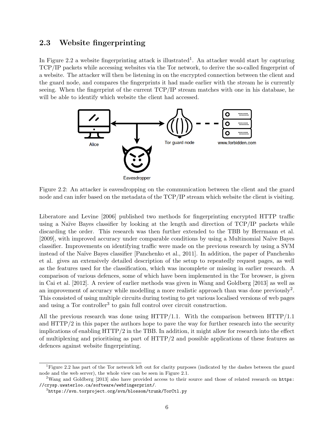#### <span id="page-7-5"></span><span id="page-7-0"></span>2.3 Website fingerprinting

In Figure [2.2](#page-7-1) a website fingerprinting attack is illustrated<sup>[1](#page-7-2)</sup>. An attacker would start by capturing [TCP/IP](#page-20-1) packets while accessing websites via the [Tor](#page-20-0) network, to derive the so-called fingerprint of a website. The attacker will then be listening in on the encrypted connection between the client and the guard node, and compares the fingerprints it had made earlier with the stream he is currently seeing. When the fingerprint of the current [TCP/IP](#page-20-1) stream matches with one in his database, he will be able to identify which website the client had accessed.

<span id="page-7-1"></span>

Figure 2.2: An attacker is eavesdropping on the communication between the client and the guard node and can infer based on the metadata of the [TCP/IP](#page-20-1) stream which website the client is visiting.

[Liberatore and Levine](#page-21-6) [\[2006\]](#page-21-6) published two methods for fingerprinting encrypted [HTTP](#page-19-2) traffic using a Naïve Bayes classifier by looking at the length and direction of  $TCP/IP$  packets while discarding the order. This research was then further extended to the [TBB](#page-20-2) by [Herrmann et al.](#page-21-7) [\[2009\]](#page-21-7), with improved accuracy under comparable conditions by using a Multinomial Naïve Bayes classifier. Improvements on identifying traffic were made on the previous research by using a [SVM](#page-20-4) instead of the Naïve Bayes classifier [\[Panchenko et al., 2011\]](#page-21-2). In addition, the paper of [Panchenko](#page-21-2) [et al.](#page-21-2) gives an extensively detailed description of the setup to repeatedly request pages, as well as the features used for the classification, which was incomplete or missing in earlier research. A comparison of various defences, some of which have been implemented in the Tor browser, is given in [Cai et al.](#page-21-8) [\[2012\]](#page-21-8). A review of earlier methods was given in [Wang and Goldberg](#page-22-0) [\[2013\]](#page-22-0) as well as an improvement of accuracy while modelling a more realistic approach than was done previously<sup>[2](#page-7-3)</sup>. This consisted of using multiple circuits during testing to get various localised versions of web pages and using a Tor controller<sup>[3](#page-7-4)</sup> to gain full control over circuit construction.

All the previous research was done using [HTTP/1.1.](#page-19-0) With the comparison between [HTTP/1.1](#page-19-0) and [HTTP/2](#page-19-1) in this paper the authors hope to pave the way for further research into the security implications of enabling [HTTP/2](#page-19-1) in the [TBB.](#page-20-2) In addition, it might allow for research into the effect of multiplexing and prioritising as part of [HTTP/2](#page-19-1) and possible applications of these features as defences against website fingerprinting.

<span id="page-7-2"></span><sup>1</sup>Figure [2.2](#page-7-1) has part of the [Tor](#page-20-0) network left out for clarity purposes (indicated by the dashes between the guard node and the web server), the whole view can be seen in Figure [2.1.](#page-6-1)

<span id="page-7-3"></span><sup>&</sup>lt;sup>2</sup>[Wang and Goldberg](#page-22-0) [\[2013\]](#page-22-0) also have provided access to their source and those of related research on [https:](https://crysp.uwaterloo.ca/software/webfingerprint/) [//crysp.uwaterloo.ca/software/webfingerprint/](https://crysp.uwaterloo.ca/software/webfingerprint/).

<span id="page-7-4"></span> $^3$ <https://svn.torproject.org/svn/blossom/trunk/TorCtl.py>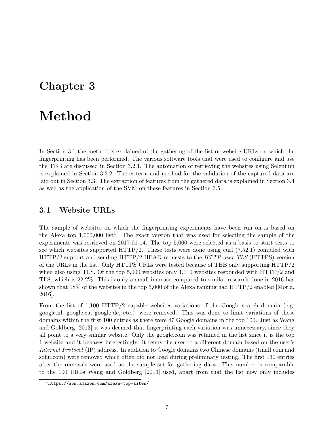### <span id="page-8-3"></span><span id="page-8-0"></span>Method

In Section [3.1](#page-8-1) the method is explained of the gathering of the list of website [URLs](#page-20-3) on which the fingerprinting has been performed. The various software tools that were used to configure and use the [TBB](#page-20-2) are discussed in Section [3.2.1.](#page-9-1) The automation of retrieving the websites using Selenium is explained in Section [3.2.2.](#page-10-0) The criteria and method for the validation of the captured data are laid out in Section [3.3.](#page-11-0) The extraction of features from the gathered data is explained in Section [3.4](#page-12-0) as well as the application of the [SVM](#page-20-4) on these features in Section [3.5.](#page-13-0)

#### <span id="page-8-1"></span>3.1 Website [URLs](#page-20-3)

The sample of websites on which the fingerprinting experiments have been run on is based on the Alexa top  $1,000,000$  $1,000,000$  list<sup>1</sup>. The exact version that was used for selecting the sample of the experiments was retrieved on 2017-01-14. The top 5,000 were selected as a basis to start tests to see which websites supported  $HTTP/2$ . These tests were done using curl  $(7.52.1)$  compiled with [HTTP/2](#page-19-1) support and sending [HTTP/2](#page-19-1) HEAD requests to the [HTTP over TLS](#page-19-6) (HTTPS) version of the [URLs](#page-20-3) in the list. Only [HTTPS](#page-19-6) [URLs](#page-20-3) were tested because of [TBB](#page-20-2) only supporting [HTTP/2](#page-19-1) when also using [TLS.](#page-20-5) Of the top 5,000 websites only 1,110 websites responded with [HTTP/2](#page-19-1) and [TLS,](#page-20-5) which is 22.2%. This is only a small increase compared to similar research done in 2016 has shown that 18% of the websites in the top 5,000 of the Alexa ranking had [HTTP/2](#page-19-1) enabled [\[Morla,](#page-21-3) [2016\]](#page-21-3).

From the list of  $1,100$  [HTTP/2](#page-19-1) capable websites variations of the Google search domain (e.g. google.nl, google.ca, google.de, etc.) were removed. This was done to limit variations of these domains within the first 100 entries as there were 47 Google domains in the top 100. Just as [Wang](#page-22-0) [and Goldberg](#page-22-0) [\[2013\]](#page-22-0) it was deemed that fingerprinting each variation was unnecessary, since they all point to a very similar website. Only the google.com was retained in the list since it is the top 1 website and it behaves interestingly: it refers the user to a different domain based on the user's [Internet Protocol](#page-19-7) (IP) address. In addition to Google domains two Chinese domains (tmall.com and sohu.com) were removed which often did not load during preliminary testing. The first 130 entries after the removals were used as the sample set for gathering data. This number is comparable to the 100 [URLs](#page-20-3) [Wang and Goldberg](#page-22-0) [\[2013\]](#page-22-0) used, apart from that the list now only includes

<span id="page-8-2"></span> $^1$ <https://aws.amazon.com/alexa-top-sites/>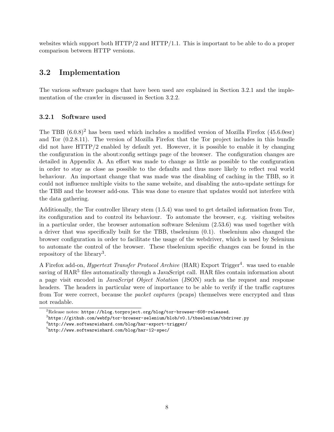<span id="page-9-6"></span>websites which support both  $HTTP/2$  and  $HTTP/1.1$ . This is important to be able to do a proper comparison between [HTTP](#page-19-2) versions.

#### <span id="page-9-0"></span>3.2 Implementation

The various software packages that have been used are explained in Section [3.2.1](#page-9-1) and the implementation of the crawler in discussed in Section [3.2.2.](#page-10-0)

#### <span id="page-9-1"></span>3.2.1 Software used

The [TBB](#page-20-2)  $(6.0.8)^2$  $(6.0.8)^2$  has been used which includes a modified version of Mozilla Firefox  $(45.6.0esr)$ and [Tor](#page-20-0) (0.2.8.11). The version of Mozilla Firefox that the [Tor](#page-20-0) project includes in this bundle did not have [HTTP/2](#page-19-1) enabled by default yet. However, it is possible to enable it by changing the configuration in the about:config settings page of the browser. The configuration changes are detailed in Appendix [A.](#page-23-0) An effort was made to change as little as possible to the configuration in order to stay as close as possible to the defaults and thus more likely to reflect real world behaviour. An important change that was made was the disabling of caching in the [TBB,](#page-20-2) so it could not influence multiple visits to the same website, and disabling the auto-update settings for the [TBB](#page-20-2) and the browser add-ons. This was done to ensure that updates would not interfere with the data gathering.

Additionally, the [Tor](#page-20-0) controller library stem (1.5.4) was used to get detailed information from [Tor,](#page-20-0) its configuration and to control its behaviour. To automate the browser, e.g. visiting websites in a particular order, the browser automation software Selenium (2.53.6) was used together with a driver that was specifically built for the [TBB,](#page-20-2) tbselenium (0.1). tbselenium also changed the browser configuration in order to facilitate the usage of the webdriver, which is used by Selenium to automate the control of the browser. These tbselenium specific changes can be found in the repository of the library<sup>[3](#page-9-3)</sup>.

A Firefox add-on, *[Hypertext Transfer Protocol Archive](#page-19-8)* (HAR) Export Trigger<sup>[4](#page-9-4)</sup>. was used to enable saving of  $HAR<sup>5</sup>$  $HAR<sup>5</sup>$  $HAR<sup>5</sup>$  files automatically through a JavaScript call. [HAR](#page-19-8) files contain information about a page visit encoded in [JavaScript Object Notation](#page-19-9) (JSON) such as the request and response headers. The headers in particular were of importance to be able to verify if the traffic captures from [Tor](#page-20-0) were correct, because the [packet capture](#page-19-10)s (pcaps) themselves were encrypted and thus not readable.

<span id="page-9-2"></span><sup>2</sup>Release notes: <https://blog.torproject.org/blog/tor-browser-608-released>.

<span id="page-9-3"></span> $^3$ <https://github.com/webfp/tor-browser-selenium/blob/v0.1/tbselenium/tbdriver.py>

<span id="page-9-4"></span> $^4$ <http://www.softwareishard.com/blog/har-export-trigger/>

<span id="page-9-5"></span> $^{5}$ <http://www.softwareishard.com/blog/har-12-spec/>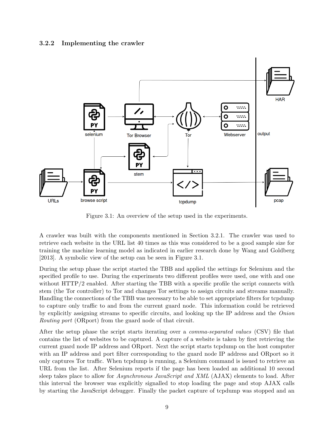#### <span id="page-10-2"></span><span id="page-10-0"></span>3.2.2 Implementing the crawler

<span id="page-10-1"></span>

Figure 3.1: An overview of the setup used in the experiments.

A crawler was built with the components mentioned in Section [3.2.1.](#page-9-1) The crawler was used to retrieve each website in the [URL](#page-20-3) list 40 times as this was considered to be a good sample size for training the machine learning model as indicated in earlier research done by [Wang and Goldberg](#page-22-0) [\[2013\]](#page-22-0). A symbolic view of the setup can be seen in Figure [3.1.](#page-10-1)

During the setup phase the script started the [TBB](#page-20-2) and applied the settings for Selenium and the specified profile to use. During the experiments two different profiles were used, one with and one without [HTTP/2](#page-19-1) enabled. After starting the [TBB](#page-20-2) with a specific profile the script connects with stem (the [Tor](#page-20-0) controller) to [Tor](#page-20-0) and changes [Tor](#page-20-0) settings to assign circuits and streams manually. Handling the connections of the [TBB](#page-20-2) was necessary to be able to set appropriate filters for tcpdump to capture only traffic to and from the current guard node. This information could be retrieved by explicitly assigning streams to specific circuits, and looking up the [IP](#page-19-7) address and the [Onion](#page-19-11) [Routing port](#page-19-11) (ORport) from the guard node of that circuit.

After the setup phase the script starts iterating over a [comma-separated values](#page-19-12) (CSV) file that contains the list of websites to be captured. A capture of a website is taken by first retrieving the current guard node [IP](#page-19-7) address and [ORport.](#page-19-11) Next the script starts tcpdump on the host computer with an [IP](#page-19-7) address and port filter corresponding to the guard node [IP](#page-19-7) address and [ORport](#page-19-11) so it only captures [Tor](#page-20-0) traffic. When tcpdump is running, a Selenium command is issued to retrieve an [URL](#page-20-3) from the list. After Selenium reports if the page has been loaded an additional 10 second sleep takes place to allow for *[Asynchronous JavaScript and XML](#page-19-13)* (AJAX) elements to load. After this interval the browser was explicitly signalled to stop loading the page and stop [AJAX](#page-19-13) calls by starting the JavaScript debugger. Finally the packet capture of tcpdump was stopped and an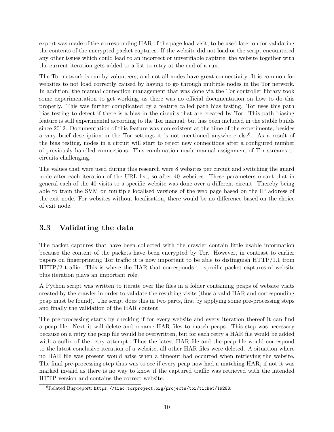<span id="page-11-2"></span>export was made of the corresponding [HAR](#page-19-8) of the page load visit, to be used later on for validating the contents of the encrypted packet captures. If the website did not load or the script encountered any other issues which could lead to an incorrect or unverifiable capture, the website together with the current iteration gets added to a list to retry at the end of a run.

The [Tor](#page-20-0) network is run by volunteers, and not all nodes have great connectivity. It is common for websites to not load correctly caused by having to go through multiple nodes in the [Tor](#page-20-0) network. In addition, the manual connection management that was done via the [Tor](#page-20-0) controller library took some experimentation to get working, as there was no official documentation on how to do this properly. This was further complicated by a feature called path bias testing. [Tor](#page-20-0) uses this path bias testing to detect if there is a bias in the circuits that are created by [Tor.](#page-20-0) This path biasing feature is still experimental according to the [Tor](#page-20-0) manual, but has been included in the stable builds since 2012. Documentation of this feature was non-existent at the time of the experiments, besides a very brief description in the [Tor](#page-20-0) settings it is not mentioned anywhere  $else<sup>6</sup>$  $else<sup>6</sup>$  $else<sup>6</sup>$ . As a result of the bias testing, nodes in a circuit will start to reject new connections after a configured number of previously handled connections. This combination made manual assignment of [Tor](#page-20-0) streams to circuits challenging.

The values that were used during this research were 8 websites per circuit and switching the guard node after each iteration of the [URL](#page-20-3) list, so after 40 websites. These parameters meant that in general each of the 40 visits to a specific website was done over a different circuit. Thereby being able to train the [SVM](#page-20-4) on multiple localised versions of the web page based on the [IP](#page-19-7) address of the exit node. For websites without localisation, there would be no difference based on the choice of exit node.

#### <span id="page-11-0"></span>3.3 Validating the data

The packet captures that have been collected with the crawler contain little usable information because the content of the packets have been encrypted by [Tor.](#page-20-0) However, in contrast to earlier papers on fingerprinting [Tor](#page-20-0) traffic it is now important to be able to distinguish [HTTP/1.1](#page-19-0) from [HTTP/2](#page-19-1) traffic. This is where the [HAR](#page-19-8) that corresponds to specific packet captures of website plus iteration plays an important role.

A Python script was written to iterate over the files in a folder containing [pcaps](#page-19-10) of website visits created by the crawler in order to validate the resulting visits (thus a valid [HAR](#page-19-8) and corresponding [pcap](#page-19-10) must be found). The script does this in two parts, first by applying some pre-processing steps and finally the validation of the [HAR](#page-19-8) content.

The pre-processing starts by checking if for every website and every iteration thereof it can find a [pcap](#page-19-10) file. Next it will delete and rename [HAR](#page-19-8) files to match [pcaps.](#page-19-10) This step was necessary because on a retry the [pcap](#page-19-10) file would be overwritten, but for each retry a [HAR](#page-19-8) file would be added with a suffix of the retry attempt. Thus the latest [HAR](#page-19-8) file and the [pcap](#page-19-10) file would correspond to the latest conclusive iteration of a website, all other [HAR](#page-19-8) files were deleted. A situation where no [HAR](#page-19-8) file was present would arise when a timeout had occurred when retrieving the website. The final pre-processing step thus was to see if every [pcap](#page-19-10) now had a matching [HAR,](#page-19-8) if not it was marked invalid as there is no way to know if the captured traffic was retrieved with the intended [HTTP](#page-19-2) version and contains the correct website.

<span id="page-11-1"></span> ${}^{6}$ Related Bug-report: <https://trac.torproject.org/projects/tor/ticket/19288>.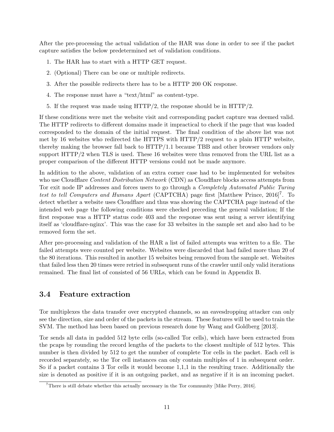<span id="page-12-2"></span>After the pre-processing the actual validation of the [HAR](#page-19-8) was done in order to see if the packet capture satisfies the below predetermined set of validation conditions.

- 1. The [HAR](#page-19-8) has to start with a [HTTP](#page-19-2) GET request.
- 2. (Optional) There can be one or multiple redirects.
- 3. After the possible redirects there has to be a [HTTP](#page-19-2) 200 OK response.
- 4. The response must have a "text/html" as content-type.
- 5. If the request was made using [HTTP/2,](#page-19-1) the response should be in [HTTP/2.](#page-19-1)

If these conditions were met the website visit and corresponding packet capture was deemed valid. The [HTTP](#page-19-2) redirects to different domains made it impractical to check if the page that was loaded corresponded to the domain of the initial request. The final condition of the above list was not met by 16 websites who redirected the [HTTPS](#page-19-6) with [HTTP/2](#page-19-1) request to a plain [HTTP](#page-19-2) website, thereby making the browser fall back to [HTTP/1.1](#page-19-0) because [TBB](#page-20-2) and other browser vendors only support [HTTP/2](#page-19-1) when [TLS](#page-20-5) is used. These 16 websites were thus removed from the [URL](#page-20-3) list as a proper comparison of the different [HTTP](#page-19-2) versions could not be made anymore.

In addition to the above, validation of an extra corner case had to be implemented for websites who use Cloudflare [Content Distribution Network](#page-19-14) (CDN) as Cloudflare blocks access attempts from [Tor](#page-20-0) exit node [IP](#page-19-7) addresses and forces users to go through a [Completely Automated Public Turing](#page-19-15) [test to tell Computers and Humans Apart](#page-19-15) (CAPTCHA) page first [\[Matthew Prince, 2016\]](#page-21-9)<sup>[7](#page-12-1)</sup>. To detect whether a website uses Cloudflare and thus was showing the [CAPTCHA](#page-19-15) page instead of the intended web page the following conditions were checked preceding the general validation; If the first response was a [HTTP](#page-19-2) status code 403 and the response was sent using a server identifying itself as 'cloudflare-nginx'. This was the case for 33 websites in the sample set and also had to be removed form the set.

After pre-processing and validation of the [HAR](#page-19-8) a list of failed attempts was written to a file. The failed attempts were counted per website. Websites were discarded that had failed more than 20 of the 80 iterations. This resulted in another 15 websites being removed from the sample set. Websites that failed less then 20 times were retried in subsequent runs of the crawler until only valid iterations remained. The final list of consisted of 56 [URLs,](#page-20-3) which can be found in Appendix [B.](#page-24-0)

#### <span id="page-12-0"></span>3.4 Feature extraction

[Tor](#page-20-0) multiplexes the data transfer over encrypted channels, so an eavesdropping attacker can only see the direction, size and order of the packets in the stream. These features will be used to train the [SVM.](#page-20-4) The method has been based on previous research done by [Wang and Goldberg](#page-22-0) [\[2013\]](#page-22-0).

[Tor](#page-20-0) sends all data in padded 512 byte cells (so-called [Tor](#page-20-0) cells), which have been extracted from the [pcaps](#page-19-10) by rounding the record lengths of the packets to the closest multiple of 512 bytes. This number is then divided by 512 to get the number of complete [Tor](#page-20-0) cells in the packet. Each cell is recorded separately, so the [Tor](#page-20-0) cell instances can only contain multiples of 1 in subsequent order. So if a packet contains 3 [Tor](#page-20-0) cells it would become 1,1,1 in the resulting trace. Additionally the size is denoted as positive if it is an outgoing packet, and as negative if it is an incoming packet.

<span id="page-12-1"></span><sup>7</sup>There is still debate whether this actually necessary in the [Tor](#page-20-0) community [\[Mike Perry, 2016\]](#page-21-10).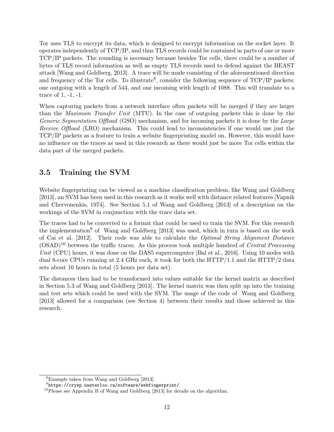<span id="page-13-4"></span>[Tor](#page-20-0) uses [TLS](#page-20-5) to encrypt its data, which is designed to encrypt information on the socket layer. It operates independently of [TCP/IP,](#page-20-1) and thus [TLS](#page-20-5) records could be contained in parts of one or more [TCP/IP](#page-20-1) packets. The rounding is necessary because besides [Tor](#page-20-0) cells, there could be a number of bytes of [TLS](#page-20-5) record information as well as empty [TLS](#page-20-5) records used to defend against the BEAST attack [\[Wang and Goldberg, 2013\]](#page-22-0). A trace will be made consisting of the aforementioned direction and frequency of the [Tor](#page-20-0) cells. To illustrate<sup>[8](#page-13-1)</sup>, consider the following sequence of  $TCP/IP$  packets: one outgoing with a length of 544, and one incoming with length of 1088. This will translate to a trace of 1, -1, -1.

When capturing packets from a network interface often packets will be merged if they are larger than the [Maximum Transfer Unit](#page-19-16) (MTU). In the case of outgoing packets this is done by the [Generic Segmentation Offload](#page-19-17) (GSO) mechanism, and for incoming packets it is done by the [Large](#page-19-18) [Receive Offload](#page-19-18) (LRO) mechanism. This could lead to inconsistencies if one would use just the [TCP/IP](#page-20-1) packets as a feature to train a website fingerprinting model on. However, this would have no influence on the traces as used in this research as there would just be more [Tor](#page-20-0) cells within the data part of the merged packets.

#### <span id="page-13-0"></span>3.5 Training the [SVM](#page-20-4)

Website fingerprinting can be viewed as a machine classification problem, like [Wang and Goldberg](#page-22-0) [\[2013\]](#page-22-0), an [SVM](#page-20-4) has been used in this research as it works well with distance related features [\[Vapnik](#page-22-2) [and Chervonenkis, 1974\]](#page-22-2). See Section 5.1 of [Wang and Goldberg](#page-22-0) [\[2013\]](#page-22-0) of a description on the workings of the [SVM](#page-20-4) in conjunction with the trace data set.

The traces had to be converted to a format that could be used to train the [SVM.](#page-20-4) For this research the implementation<sup>[9](#page-13-2)</sup> of [Wang and Goldberg](#page-22-0) [\[2013\]](#page-22-0) was used, which in turn is based on the work of [Cai et al.](#page-21-8) [\[2012\]](#page-21-8). Their code was able to calculate the [Optimal String Alignment Distance](#page-19-19)  $\rm (OSAD)^{10}$  $\rm (OSAD)^{10}$  $\rm (OSAD)^{10}$  $\rm (OSAD)^{10}$  $\rm (OSAD)^{10}$  between the traffic traces. As this process took multiple hundred of *[Central Processing](#page-19-20)* Unit [\(CPU\)](#page-19-20) hours, it was done on the DAS5 supercomputer [\[Bal et al., 2016\]](#page-21-11). Using 10 nodes with dual 8-core [CPUs](#page-19-20) running at 2.4 GHz each, it took for both the [HTTP/1.1](#page-19-0) and the [HTTP/2](#page-19-1) data sets about 10 hours in total (5 hours per data set).

The distances then had to be transformed into values suitable for the kernel matrix as described in Section 5.3 of [Wang and Goldberg](#page-22-0) [\[2013\]](#page-22-0). The kernel matrix was then split up into the training and test sets which could be used with the [SVM.](#page-20-4) The usage of the code of [Wang and Goldberg](#page-22-0) [\[2013\]](#page-22-0) allowed for a comparison (see Section [4\)](#page-14-0) between their results and those achieved in this research.

<span id="page-13-1"></span><sup>8</sup>Example taken from [Wang and Goldberg](#page-22-0) [\[2013\]](#page-22-0).

<span id="page-13-2"></span> $^9$ <https://crysp.uwaterloo.ca/software/webfingerprint/>

<span id="page-13-3"></span><sup>&</sup>lt;sup>10</sup>Please see Appendix B of [Wang and Goldberg](#page-22-0) [\[2013\]](#page-22-0) for details on the algorithm.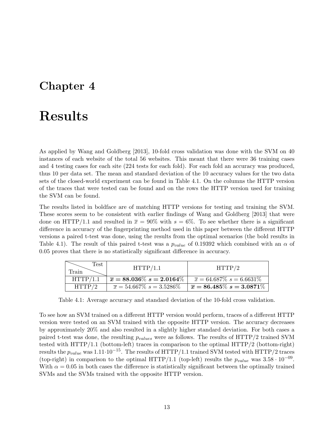### <span id="page-14-2"></span><span id="page-14-0"></span>Results

As applied by [Wang and Goldberg](#page-22-0) [\[2013\]](#page-22-0), 10-fold cross validation was done with the [SVM](#page-20-4) on 40 instances of each website of the total 56 websites. This meant that there were 36 training cases and 4 testing cases for each site (224 tests for each fold). For each fold an accuracy was produced, thus 10 per data set. The mean and standard deviation of the 10 accuracy values for the two data sets of the closed-world experiment can be found in Table [4.1.](#page-14-1) On the columns the [HTTP](#page-19-2) version of the traces that were tested can be found and on the rows the [HTTP](#page-19-2) version used for training the SVM can be found.

The results listed in boldface are of matching [HTTP](#page-19-2) versions for testing and training the [SVM.](#page-20-4) These scores seem to be consistent with earlier findings of [Wang and Goldberg](#page-22-0) [\[2013\]](#page-22-0) that were done on [HTTP/1.1](#page-19-0) and resulted in  $\bar{x} = 90\%$  with  $s = 6\%$ . To see whether there is a significant difference in accuracy of the fingerprinting method used in this paper between the different [HTTP](#page-19-2) versions a paired t-test was done, using the results from the optimal scenarios (the bold results in Table [4.1\)](#page-14-1). The result of this paired t-test was a  $p_{value}$  of 0.19392 which combined with an  $\alpha$  of 0.05 proves that there is no statistically significant difference in accuracy.

<span id="page-14-1"></span>

| Test<br>Train | HTTP/1.1                                  | HTTP/2                                    |
|---------------|-------------------------------------------|-------------------------------------------|
| HTTP/1.1      | $\overline{x} = 88.036\% \; s = 2.0164\%$ | $\overline{x}$ = 64.687\% s = 6.6631\%    |
| HTTP/2        | $\bar{x} = 54.667\% \; s = 3.5286\%$      | $\overline{x} = 86.485\% \; s = 3.0871\%$ |

Table 4.1: Average accuracy and standard deviation of the 10-fold cross validation.

To see how an SVM trained on a different [HTTP](#page-19-2) version would perform, traces of a different [HTTP](#page-19-2) version were tested on an [SVM](#page-20-4) trained with the opposite [HTTP](#page-19-2) version. The accuracy decreases by approximately 20% and also resulted in a slightly higher standard deviation. For both cases a paired t-test was done, the resulting  $p_{values}$  were as follows. The results of  $HTTP/2$  trained [SVM](#page-20-4) tested with [HTTP/1.1](#page-19-0) (bottom-left) traces in comparison to the optimal [HTTP/2](#page-19-1) (bottom-right) results the  $p_{value}$  was 1.11·10<sup>-15</sup>. The results of [HTTP/1.1](#page-19-0) trained [SVM](#page-20-4) tested with [HTTP/2](#page-19-1) traces (top-right) in comparison to the optimal [HTTP/1.1](#page-19-0) (top-left) results the  $p_{value}$  was  $3.58 \cdot 10^{-09}$ . With  $\alpha = 0.05$  in both cases the difference is statistically significant between the optimally trained [SVMs](#page-20-4) and the [SVMs](#page-20-4) trained with the opposite [HTTP](#page-19-2) version.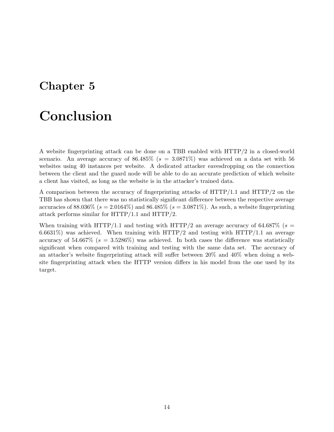### <span id="page-15-1"></span><span id="page-15-0"></span>Conclusion

A website fingerprinting attack can be done on a [TBB](#page-20-2) enabled with [HTTP/2](#page-19-1) in a closed-world scenario. An average accuracy of  $86.485\%$  ( $s = 3.0871\%$ ) was achieved on a data set with 56 websites using 40 instances per website. A dedicated attacker eavesdropping on the connection between the client and the guard node will be able to do an accurate prediction of which website a client has visited, as long as the website is in the attacker's trained data.

A comparison between the accuracy of fingerprinting attacks of [HTTP/1.1](#page-19-0) and [HTTP/2](#page-19-1) on the [TBB](#page-20-2) has shown that there was no statistically significant difference between the respective average accuracies of 88.036\% ( $s = 2.0164\%$ ) and 86.485\% ( $s = 3.0871\%$ ). As such, a website fingerprinting attack performs similar for [HTTP/1.1](#page-19-0) and [HTTP/2.](#page-19-1)

When training with [HTTP/1.1](#page-19-0) and testing with [HTTP/2](#page-19-1) an average accuracy of 64.687% ( $s =$ 6.6631%) was achieved. When training with  $HTTP/2$  and testing with  $HTTP/1.1$  an average accuracy of 54.667% ( $s = 3.5286\%$ ) was achieved. In both cases the difference was statistically significant when compared with training and testing with the same data set. The accuracy of an attacker's website fingerprinting attack will suffer between 20% and 40% when doing a website fingerprinting attack when the [HTTP](#page-19-2) version differs in his model from the one used by its target.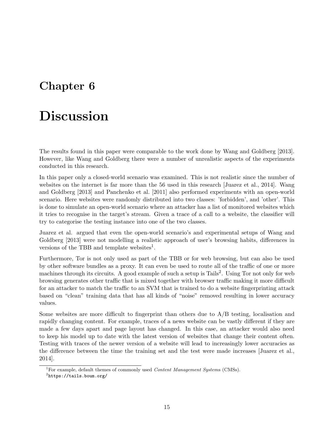### <span id="page-16-3"></span><span id="page-16-0"></span>Discussion

The results found in this paper were comparable to the work done by [Wang and Goldberg](#page-22-0) [\[2013\]](#page-22-0). However, like [Wang and Goldberg](#page-22-0) there were a number of unrealistic aspects of the experiments conducted in this research.

In this paper only a closed-world scenario was examined. This is not realistic since the number of websites on the internet is far more than the 56 used in this research [\[Juarez et al., 2014\]](#page-21-12). [Wang](#page-22-0) [and Goldberg](#page-22-0) [\[2013\]](#page-22-0) and [Panchenko et al.](#page-21-2) [\[2011\]](#page-21-2) also performed experiments with an open-world scenario. Here websites were randomly distributed into two classes: 'forbidden', and 'other'. This is done to simulate an open-world scenario where an attacker has a list of monitored websites which it tries to recognise in the target's stream. Given a trace of a call to a website, the classifier will try to categorise the testing instance into one of the two classes.

[Juarez et al.](#page-21-12) argued that even the open-world scenario's and experimental setups of [Wang and](#page-22-0) [Goldberg](#page-22-0) [\[2013\]](#page-22-0) were not modelling a realistic approach of user's browsing habits, differences in versions of the [TBB](#page-20-2) and template websites<sup>[1](#page-16-1)</sup>.

Furthermore, [Tor](#page-20-0) is not only used as part of the [TBB](#page-20-2) or for web browsing, but can also be used by other software bundles as a proxy. It can even be used to route all of the traffic of one or more machines through its circuits. A good example of such a setup is Tails<sup>[2](#page-16-2)</sup>. Using [Tor](#page-20-0) not only for web browsing generates other traffic that is mixed together with browser traffic making it more difficult for an attacker to match the traffic to an [SVM](#page-20-4) that is trained to do a website fingerprinting attack based on "clean" training data that has all kinds of "noise" removed resulting in lower accuracy values.

Some websites are more difficult to fingerprint than others due to A/B testing, localisation and rapidly changing content. For example, traces of a news website can be vastly different if they are made a few days apart and page layout has changed. In this case, an attacker would also need to keep his model up to date with the latest version of websites that change their content often. Testing with traces of the newer version of a website will lead to increasingly lower accuracies as the difference between the time the training set and the test were made increases [\[Juarez et al.,](#page-21-12) [2014\]](#page-21-12).

<span id="page-16-1"></span><sup>&</sup>lt;sup>1</sup>For example, default themes of commonly used *[Content Management System](#page-19-21)s* (CMSs).

<span id="page-16-2"></span> $^2$ <https://tails.boum.org/>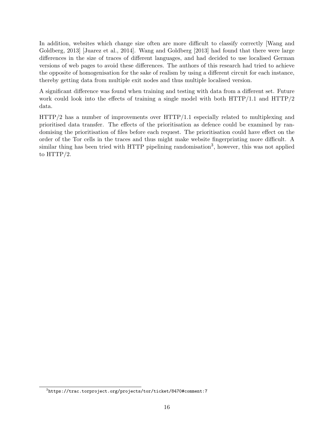<span id="page-17-1"></span>In addition, websites which change size often are more difficult to classify correctly [\[Wang and](#page-22-0) [Goldberg, 2013\]](#page-22-0) [\[Juarez et al., 2014\]](#page-21-12). [Wang and Goldberg](#page-22-0) [\[2013\]](#page-22-0) had found that there were large differences in the size of traces of different languages, and had decided to use localised German versions of web pages to avoid these differences. The authors of this research had tried to achieve the opposite of homogenisation for the sake of realism by using a different circuit for each instance, thereby getting data from multiple exit nodes and thus multiple localised version.

A significant difference was found when training and testing with data from a different set. Future work could look into the effects of training a single model with both  $HTTP/1.1$  and  $HTTP/2$ data.

[HTTP/2](#page-19-1) has a number of improvements over [HTTP/1.1](#page-19-0) especially related to multiplexing and prioritised data transfer. The effects of the prioritisation as defence could be examined by randomising the prioritisation of files before each request. The prioritisation could have effect on the order of the [Tor](#page-20-0) cells in the traces and thus might make website fingerprinting more difficult. A similar thing has been tried with [HTTP](#page-19-2) pipelining randomisation<sup>[3](#page-17-0)</sup>, however, this was not applied to [HTTP/2.](#page-19-1)

<span id="page-17-0"></span> $^3$ <https://trac.torproject.org/projects/tor/ticket/8470#comment:7>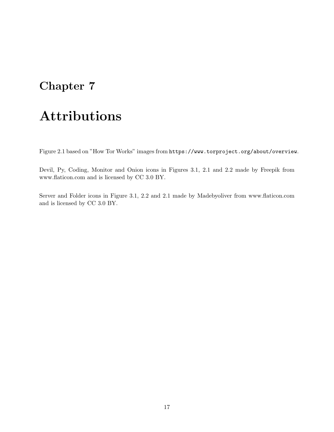# <span id="page-18-0"></span>Attributions

Figure [2.1](#page-6-1) based on "How Tor Works" images from <https://www.torproject.org/about/overview>.

Devil, Py, Coding, Monitor and Onion icons in Figures [3.1,](#page-10-1) [2.1](#page-6-1) and [2.2](#page-7-1) made by [Freepik](http://www.freepik.com) from [www.flaticon.com](http://www.flaticon.com) and is licensed by [CC 3.0 BY.](http://creativecommons.org/licenses/by/3.0/)

Server and Folder icons in Figure [3.1,](#page-10-1) [2.2](#page-7-1) and [2.1](#page-6-1) made by [Ma](http://www.flaticon.com/authors/madebyoliver)debyoliver from [www.flaticon.com](http://www.flaticon.com) and is licensed by [CC 3.0 BY.](http://creativecommons.org/licenses/by/3.0/)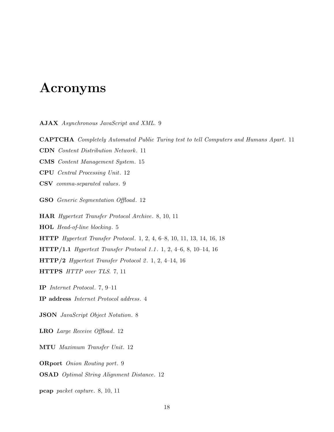### <span id="page-19-22"></span><span id="page-19-3"></span>Acronyms

<span id="page-19-13"></span>AJAX Asynchronous JavaScript and XML. [9](#page-10-2)

<span id="page-19-15"></span>CAPTCHA Completely Automated Public Turing test to tell Computers and Humans Apart. [11](#page-12-2)

<span id="page-19-14"></span>CDN Content Distribution Network . [11](#page-12-2)

<span id="page-19-21"></span>CMS Content Management System. [15](#page-16-3)

<span id="page-19-20"></span>CPU Central Processing Unit. [12](#page-13-4)

<span id="page-19-12"></span>CSV comma-separated values. [9](#page-10-2)

<span id="page-19-17"></span>GSO Generic Segmentation Offload. [12](#page-13-4)

<span id="page-19-8"></span>HAR Hypertext Transfer Protocol Archive. [8,](#page-9-6) [10,](#page-11-2) [11](#page-12-2)

<span id="page-19-5"></span>HOL Head-of-line blocking. [5](#page-6-2)

<span id="page-19-2"></span>HTTP Hypertext Transfer Protocol. [1,](#page-2-0) [2,](#page-3-5) [4,](#page-5-2) [6](#page-7-5)[–8,](#page-9-6) [10,](#page-11-2) [11,](#page-12-2) [13,](#page-14-2) [14,](#page-15-1) [16,](#page-17-1) [18](#page-19-22)

<span id="page-19-0"></span>HTTP/1.1 Hypertext Transfer Protocol 1.1 . [1,](#page-2-0) [2,](#page-3-5) [4](#page-5-2)[–6,](#page-7-5) [8,](#page-9-6) [10](#page-11-2)[–14,](#page-15-1) [16](#page-17-1)

<span id="page-19-1"></span> $HTTP/2$  Hypertext Transfer Protocol 2. [1,](#page-2-0) [2,](#page-3-5) [4–](#page-5-2)[14,](#page-15-1) [16](#page-17-1)

<span id="page-19-6"></span>HTTPS [HTTP](#page-19-2) over [TLS](#page-20-5). [7,](#page-8-3) [11](#page-12-2)

<span id="page-19-7"></span>IP Internet Protocol. [7,](#page-8-3) [9–](#page-10-2)[11](#page-12-2)

<span id="page-19-4"></span>IP address Internet Protocol address. [4](#page-5-2)

<span id="page-19-9"></span>JSON JavaScript Object Notation. [8](#page-9-6)

<span id="page-19-18"></span>LRO Large Receive Offload. [12](#page-13-4)

<span id="page-19-16"></span>MTU Maximum Transfer Unit. [12](#page-13-4)

<span id="page-19-11"></span>ORport Onion Routing port. [9](#page-10-2)

<span id="page-19-19"></span>OSAD Optimal String Alignment Distance. [12](#page-13-4)

<span id="page-19-10"></span>pcap packet capture. [8,](#page-9-6) [10,](#page-11-2) [11](#page-12-2)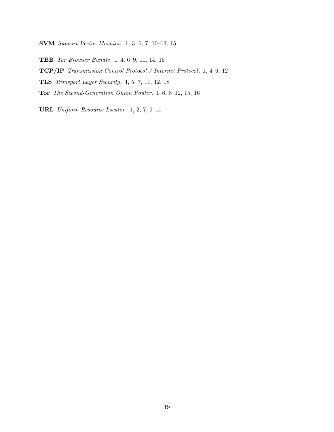<span id="page-20-4"></span>SVM Support Vector Machine. [1,](#page-2-0) [3,](#page-4-1) [6,](#page-7-5) [7,](#page-8-3) [10–](#page-11-2)[13,](#page-14-2) [15](#page-16-3)

<span id="page-20-2"></span>TBB Tor Browser Bundle. [1](#page-2-0)[–4,](#page-5-2) [6](#page-7-5)[–9,](#page-10-2) [11,](#page-12-2) [14,](#page-15-1) [15](#page-16-3)

<span id="page-20-1"></span>TCP/IP Transmission Control Protocol / Internet Protocol. [1,](#page-2-0) [4](#page-5-2)[–6,](#page-7-5) [12](#page-13-4)

<span id="page-20-5"></span>TLS Transport Layer Security. [4,](#page-5-2) [5,](#page-6-2) [7,](#page-8-3) [11,](#page-12-2) [12,](#page-13-4) [18](#page-19-22)

<span id="page-20-0"></span>Tor The Second-Generation Onion Router . [1](#page-2-0)[–6,](#page-7-5) [8](#page-9-6)[–12,](#page-13-4) [15,](#page-16-3) [16](#page-17-1)

<span id="page-20-3"></span>URL Uniform Resource Locator. [1,](#page-2-0) [2,](#page-3-5) [7,](#page-8-3) 9-[11](#page-12-2)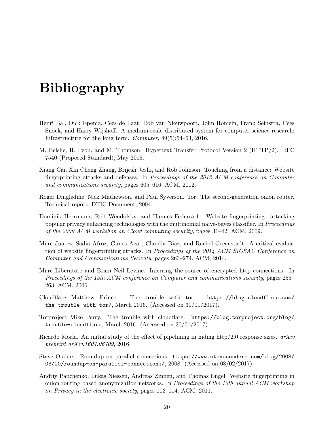# <span id="page-21-0"></span>Bibliography

- <span id="page-21-11"></span>Henri Bal, Dick Epema, Cees de Laat, Rob van Nieuwpoort, John Romein, Frank Seinstra, Cees Snoek, and Harry Wijshoff. A medium-scale distributed system for computer science research: Infrastructure for the long term. Computer, 49(5):54–63, 2016.
- <span id="page-21-4"></span>M. Belshe, R. Peon, and M. Thomson. Hypertext Transfer Protocol Version 2 (HTTP/2). RFC 7540 (Proposed Standard), May 2015.
- <span id="page-21-8"></span>Xiang Cai, Xin Cheng Zhang, Brijesh Joshi, and Rob Johnson. Touching from a distance: Website fingerprinting attacks and defenses. In Proceedings of the 2012 ACM conference on Computer and communications security, pages 605–616. ACM, 2012.
- <span id="page-21-1"></span>Roger Dingledine, Nick Mathewson, and Paul Syverson. Tor: The second-generation onion router. Technical report, DTIC Document, 2004.
- <span id="page-21-7"></span>Dominik Herrmann, Rolf Wendolsky, and Hannes Federrath. Website fingerprinting: attacking popular privacy enhancing technologies with the multinomial naïve-bayes classifier. In Proceedings of the 2009 ACM workshop on Cloud computing security, pages 31–42. ACM, 2009.
- <span id="page-21-12"></span>Marc Juarez, Sadia Afroz, Gunes Acar, Claudia Diaz, and Rachel Greenstadt. A critical evaluation of website fingerprinting attacks. In Proceedings of the 2014 ACM SIGSAC Conference on Computer and Communications Security, pages 263–274. ACM, 2014.
- <span id="page-21-6"></span>Marc Liberatore and Brian Neil Levine. Inferring the source of encrypted http connections. In Proceedings of the 13th ACM conference on Computer and communications security, pages 255– 263. ACM, 2006.
- <span id="page-21-9"></span>Cloudflare Matthew Prince. The trouble with tor. [https://blog.cloudflare.com/](https://blog.cloudflare.com/the-trouble-with-tor/) [the-trouble-with-tor/](https://blog.cloudflare.com/the-trouble-with-tor/), March 2016. (Accessed on 30/01/2017).
- <span id="page-21-10"></span>Torproject Mike Perry. The trouble with cloudflare. [https://blog.torproject.org/blog/](https://blog.torproject.org/blog/trouble-cloudflare) [trouble-cloudflare](https://blog.torproject.org/blog/trouble-cloudflare), March 2016. (Accessed on 30/01/2017).
- <span id="page-21-3"></span>Ricardo Morla. An initial study of the effect of pipelining in hiding http/2.0 response sizes.  $arXiv$ preprint arXiv:1607.06709, 2016.
- <span id="page-21-5"></span>Steve Ouders. Roundup on parallel connections. [https://www.stevesouders.com/blog/2008/](https://www.stevesouders.com/blog/2008/03/20/roundup-on-parallel-connections/) [03/20/roundup-on-parallel-connections/](https://www.stevesouders.com/blog/2008/03/20/roundup-on-parallel-connections/), 2008. (Accessed on 08/02/2017).
- <span id="page-21-2"></span>Andriy Panchenko, Lukas Niessen, Andreas Zinnen, and Thomas Engel. Website fingerprinting in onion routing based anonymization networks. In Proceedings of the 10th annual ACM workshop on Privacy in the electronic society, pages 103–114. ACM, 2011.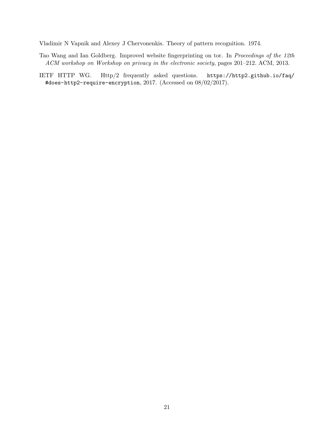<span id="page-22-2"></span>Vladimir N Vapnik and Alexey J Chervonenkis. Theory of pattern recognition. 1974.

- <span id="page-22-0"></span>Tao Wang and Ian Goldberg. Improved website fingerprinting on tor. In Proceedings of the 12th ACM workshop on Workshop on privacy in the electronic society, pages 201–212. ACM, 2013.
- <span id="page-22-1"></span>IETF HTTP WG. Http/2 frequently asked questions. [https://http2.github.io/faq/](https://http2.github.io/faq/#does-http2-require-encryption) [#does-http2-require-encryption](https://http2.github.io/faq/#does-http2-require-encryption), 2017. (Accessed on 08/02/2017).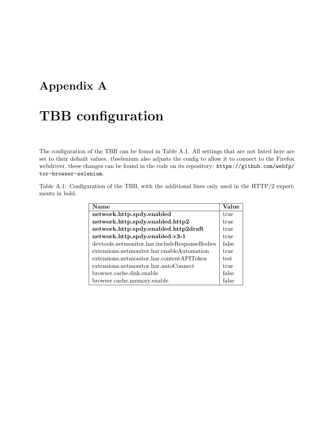### <span id="page-23-0"></span>Appendix A

# [TBB](#page-20-2) configuration

The configuration of the [TBB](#page-20-2) can be found in Table [A.1.](#page-23-1) All settings that are not listed here are set to their default values. tbselenium also adjusts the config to allow it to connect to the Firefox webdriver, these changes can be found in the code on its repository: [https://github.com/webfp/](https://github.com/webfp/tor-browser-selenium) [tor-browser-selenium](https://github.com/webfp/tor-browser-selenium).

<span id="page-23-1"></span>Table A.1: Configuration of the [TBB,](#page-20-2) with the additional lines only used in the [HTTP/2](#page-19-1) experiments in bold.

| <b>Name</b>                                   | Value |
|-----------------------------------------------|-------|
| network.http.spdy.enabled                     | true  |
| network.http.spdy.enabled.http2               | true  |
| network.http.spdy.enabled.http2draft          | true  |
| network.http.spdy.enabled.v3-1                | true  |
| devtools.netmonitor.har.includeResponseBodies | false |
| extensions.netmonitor.har.enableAutomation    | true  |
| extensions.netmonitor.har.contentAPIToken     | test  |
| extensions.netmonitor.har.autoConnect         | true  |
| browser.cache.disk.enable                     | false |
| browser.cache.memory.enable                   | false |